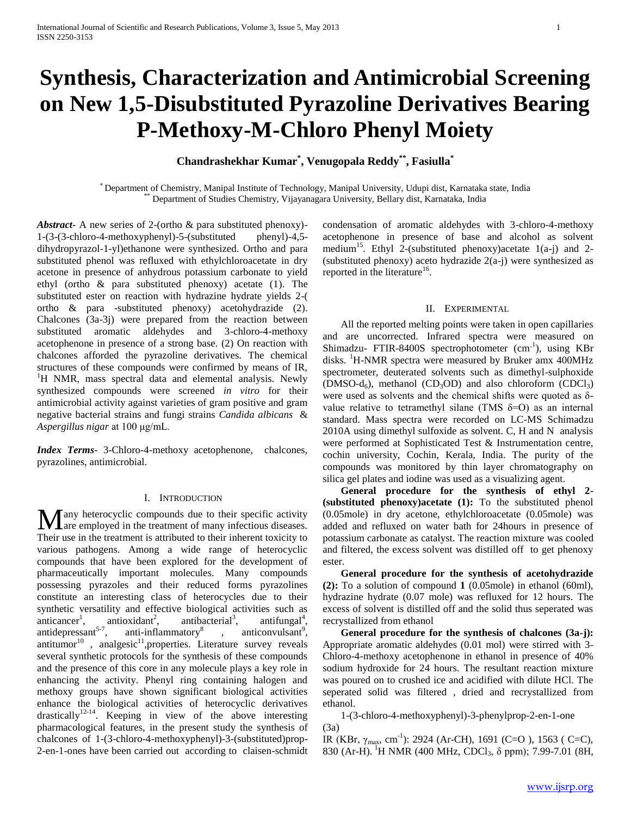# **Synthesis, Characterization and Antimicrobial Screening on New 1,5-Disubstituted Pyrazoline Derivatives Bearing P-Methoxy-M-Chloro Phenyl Moiety**

# **Chandrashekhar Kumar\* , Venugopala Reddy\*\* , Fasiulla\***

\* Department of Chemistry, Manipal Institute of Technology, Manipal University, Udupi dist, Karnataka state, India Department of Studies Chemistry, Vijayanagara University, Bellary dist, Karnataka, India

*Abstract***-** A new series of 2-(ortho & para substituted phenoxy)- 1-(3-(3-chloro-4-methoxyphenyl)-5-(substituted phenyl)-4,5 dihydropyrazol-1-yl)ethanone were synthesized. Ortho and para substituted phenol was refluxed with ethylchloroacetate in dry acetone in presence of anhydrous potassium carbonate to yield ethyl (ortho & para substituted phenoxy) acetate (1). The substituted ester on reaction with hydrazine hydrate yields 2-( ortho & para -substituted phenoxy) acetohydrazide (2). Chalcones (3a-3j) were prepared from the reaction between substituted aromatic aldehydes and 3-chloro-4-methoxy acetophenone in presence of a strong base. (2) On reaction with chalcones afforded the pyrazoline derivatives. The chemical structures of these compounds were confirmed by means of IR, <sup>1</sup>H NMR, mass spectral data and elemental analysis. Newly synthesized compounds were screened *in vitro* for their antimicrobial activity against varieties of gram positive and gram negative bacterial strains and fungi strains *Candida albicans* & *Aspergillus nigar* at 100 μg/mL.

*Index Terms*- 3-Chloro-4-methoxy acetophenone, chalcones, pyrazolines, antimicrobial.

#### I. INTRODUCTION

any heterocyclic compounds due to their specific activity **M** any heterocyclic compounds due to their specific activity are employed in the treatment of many infectious diseases. Their use in the treatment is attributed to their inherent toxicity to various pathogens. Among a wide range of heterocyclic compounds that have been explored for the development of pharmaceutically important molecules. Many compounds possessing pyrazoles and their reduced forms pyrazolines constitute an interesting class of heterocycles due to their synthetic versatility and effective biological activities such as anticancer<sup>1</sup>, antioxidant<sup>2</sup>, antibacterial<sup>3</sup>.  $,$  antifungal<sup>4</sup>, antidepressant $5-7$ , anti-inflammatory<sup>8</sup>  $,$  anticonvulsant<sup>9</sup>, antitumor<sup>10</sup>, analgesic<sup>11</sup>, properties. Literature survey reveals several synthetic protocols for the synthesis of these compounds and the presence of this core in any molecule plays a key role in enhancing the activity. Phenyl ring containing halogen and methoxy groups have shown significant biological activities enhance the biological activities of heterocyclic derivatives  $drastically$ <sup>12-14</sup>. Keeping in view of the above interesting pharmacological features, in the present study the synthesis of chalcones of 1-(3-chloro-4-methoxyphenyl)-3-(substituted)prop-2-en-1-ones have been carried out according to claisen-schmidt

condensation of aromatic aldehydes with 3-chloro-4-methoxy acetophenone in presence of base and alcohol as solvent medium<sup>15</sup>. Ethyl 2-(substituted phenoxy) acetate  $1(a-j)$  and 2-(substituted phenoxy) aceto hydrazide 2(a-j) were synthesized as reported in the literature<sup>16</sup>.

#### II. EXPERIMENTAL

 All the reported melting points were taken in open capillaries and are uncorrected. Infrared spectra were measured on Shimadzu- FTIR-8400S spectrophotometer (cm<sup>-1</sup>), using KBr disks. <sup>1</sup>H-NMR spectra were measured by Bruker amx 400MHz spectrometer, deuterated solvents such as dimethyl-sulphoxide (DMSO-d<sub>6</sub>), methanol (CD<sub>3</sub>OD) and also chloroform (CDCl<sub>3</sub>) were used as solvents and the chemical shifts were quoted as δvalue relative to tetramethyl silane (TMS  $\delta$ =O) as an internal standard. Mass spectra were recorded on LC-MS Schimadzu 2010A using dimethyl sulfoxide as solvent. C, H and N analysis were performed at Sophisticated Test & Instrumentation centre, cochin university, Cochin, Kerala, India. The purity of the compounds was monitored by thin layer chromatography on silica gel plates and iodine was used as a visualizing agent.

 **General procedure for the synthesis of ethyl 2- (substituted phenoxy)acetate (1):** To the substituted phenol (0.05mole) in dry acetone, ethylchloroacetate (0.05mole) was added and refluxed on water bath for 24hours in presence of potassium carbonate as catalyst. The reaction mixture was cooled and filtered, the excess solvent was distilled off to get phenoxy ester.

 **General procedure for the synthesis of acetohydrazide (2):** To a solution of compound **1** (0.05mole) in ethanol (60ml), hydrazine hydrate (0.07 mole) was refluxed for 12 hours. The excess of solvent is distilled off and the solid thus seperated was recrystallized from ethanol

 **General procedure for the synthesis of chalcones (3a-j):**  Appropriate aromatic aldehydes (0.01 mol) were stirred with 3- Chloro-4-methoxy acetophenone in ethanol in presence of 40% sodium hydroxide for 24 hours. The resultant reaction mixture was poured on to crushed ice and acidified with dilute HCl. The seperated solid was filtered , dried and recrystallized from ethanol.

 1-(3-chloro-4-methoxyphenyl)-3-phenylprop-2-en-1-one (3a)

IR (KBr,  $\gamma_{\text{max}}$ , cm<sup>-1</sup>): 2924 (Ar-CH), 1691 (C=O), 1563 (C=C), 830 (Ar-H). <sup>1</sup>H NMR (400 MHz, CDCl<sub>3</sub>,  $\delta$  ppm); 7.99-7.01 (8H,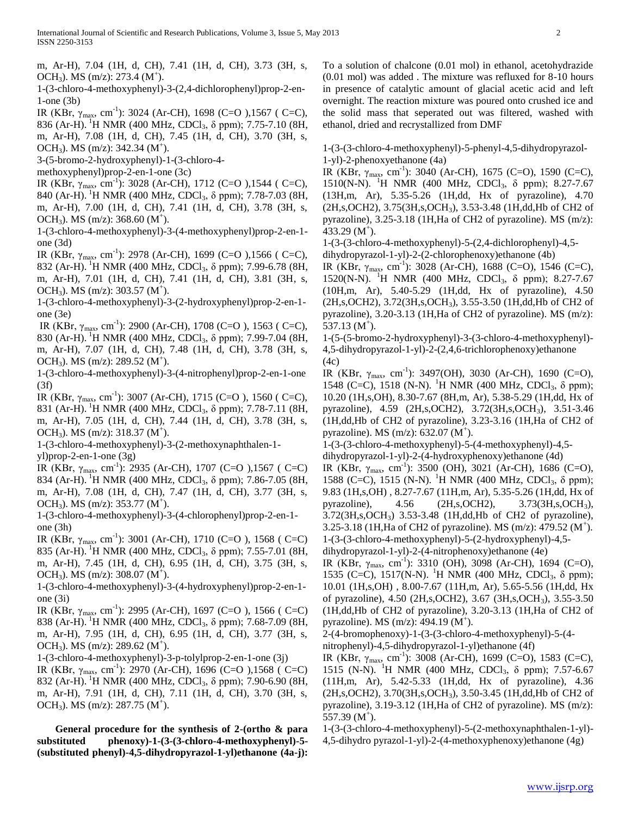m, Ar-H), 7.04 (1H, d, CH), 7.41 (1H, d, CH), 3.73 (3H, s, OCH<sub>3</sub>). MS (m/z): 273.4 (M<sup>+</sup>).

1-(3-chloro-4-methoxyphenyl)-3-(2,4-dichlorophenyl)prop-2-en-1-one (3b)

IR (KBr,  $\gamma_{\text{max}}$ , cm<sup>-1</sup>): 3024 (Ar-CH), 1698 (C=O), 1567 (C=C),

836 (Ar-H). <sup>1</sup>H NMR (400 MHz, CDCl<sub>3</sub>,  $\delta$  ppm); 7.75-7.10 (8H, m, Ar-H), 7.08 (1H, d, CH), 7.45 (1H, d, CH), 3.70 (3H, s, OCH<sub>3</sub>). MS (m/z): 342.34 (M<sup>+</sup>).

3-(5-bromo-2-hydroxyphenyl)-1-(3-chloro-4-

methoxyphenyl)prop-2-en-1-one (3c)

IR (KBr,  $\gamma_{\text{max}}$ , cm<sup>-1</sup>): 3028 (Ar-CH), 1712 (C=O), 1544 (C=C),

840 (Ar-H). <sup>1</sup>H NMR (400 MHz, CDCl<sub>3</sub>, δ ppm); 7.78-7.03 (8H,

m, Ar-H), 7.00 (1H, d, CH), 7.41 (1H, d, CH), 3.78 (3H, s, OCH<sub>3</sub>). MS (m/z): 368.60 (M<sup>+</sup>).

1-(3-chloro-4-methoxyphenyl)-3-(4-methoxyphenyl)prop-2-en-1 one (3d)

IR (KBr,  $\gamma_{\text{max}}$ , cm<sup>-1</sup>): 2978 (Ar-CH), 1699 (C=O), 1566 (C=C), 832 (Ar-H). <sup>1</sup>H NMR (400 MHz, CDCl<sub>3</sub>, δ ppm); 7.99-6.78 (8H, m, Ar-H), 7.01 (1H, d, CH), 7.41 (1H, d, CH), 3.81 (3H, s, OCH<sub>3</sub>). MS (m/z): 303.57 (M<sup>+</sup>).

1-(3-chloro-4-methoxyphenyl)-3-(2-hydroxyphenyl)prop-2-en-1 one (3e)

IR (KBr,  $\gamma_{\text{max}}$ , cm<sup>-1</sup>): 2900 (Ar-CH), 1708 (C=O), 1563 (C=C), 830 (Ar-H). <sup>1</sup>H NMR (400 MHz, CDCl<sub>3</sub>, δ ppm); 7.99-7.04 (8H, m, Ar-H), 7.07 (1H, d, CH), 7.48 (1H, d, CH), 3.78 (3H, s, OCH<sub>3</sub>). MS (m/z): 289.52 (M<sup>+</sup>).

1-(3-chloro-4-methoxyphenyl)-3-(4-nitrophenyl)prop-2-en-1-one (3f)

IR (KBr,  $\gamma_{\text{max}}$ , cm<sup>-1</sup>): 3007 (Ar-CH), 1715 (C=O), 1560 (C=C), 831 (Ar-H). <sup>1</sup>H NMR (400 MHz, CDCl<sub>3</sub>, δ ppm); 7.78-7.11 (8H, m, Ar-H), 7.05 (1H, d, CH), 7.44 (1H, d, CH), 3.78 (3H, s, OCH<sub>3</sub>). MS (m/z): 318.37 (M<sup>+</sup>).

1-(3-chloro-4-methoxyphenyl)-3-(2-methoxynaphthalen-1-

yl)prop-2-en-1-one (3g)

IR (KBr,  $\gamma_{\text{max}}$ , cm<sup>-1</sup>): 2935 (Ar-CH), 1707 (C=O),1567 (C=C) 834 (Ar-H). <sup>1</sup>H NMR (400 MHz, CDCl<sub>3</sub>, δ ppm); 7.86-7.05 (8H, m, Ar-H), 7.08 (1H, d, CH), 7.47 (1H, d, CH), 3.77 (3H, s, OCH<sub>3</sub>). MS (m/z): 353.77 (M<sup>+</sup>).

1-(3-chloro-4-methoxyphenyl)-3-(4-chlorophenyl)prop-2-en-1 one (3h)

IR (KBr,  $\gamma_{\text{max}}$ , cm<sup>-1</sup>): 3001 (Ar-CH), 1710 (C=O), 1568 (C=C) 835 (Ar-H). <sup>1</sup>H NMR (400 MHz, CDCl<sub>3</sub>,  $\delta$  ppm); 7.55-7.01 (8H, m, Ar-H), 7.45 (1H, d, CH), 6.95 (1H, d, CH), 3.75 (3H, s, OCH<sub>3</sub>). MS (m/z): 308.07 (M<sup>+</sup>).

1-(3-chloro-4-methoxyphenyl)-3-(4-hydroxyphenyl)prop-2-en-1 one (3i)

IR (KBr,  $\gamma_{\text{max}}$ , cm<sup>-1</sup>): 2995 (Ar-CH), 1697 (C=O), 1566 (C=C) 838 (Ar-H). <sup>1</sup>H NMR (400 MHz, CDCl<sub>3</sub>, δ ppm); 7.68-7.09 (8H, m, Ar-H), 7.95 (1H, d, CH), 6.95 (1H, d, CH), 3.77 (3H, s, OCH<sub>3</sub>). MS (m/z): 289.62 (M<sup>+</sup>).

1-(3-chloro-4-methoxyphenyl)-3-p-tolylprop-2-en-1-one (3j)

IR (KBr,  $\gamma_{\text{max}}$ , cm<sup>-1</sup>): 2970 (Ar-CH), 1696 (C=O),1568 (C=C) 832 (Ar-H). <sup>1</sup>H NMR (400 MHz, CDCl<sub>3</sub>, δ ppm); 7.90-6.90 (8H, m, Ar-H), 7.91 (1H, d, CH), 7.11 (1H, d, CH), 3.70 (3H, s, OCH<sub>3</sub>). MS (m/z): 287.75 (M<sup>+</sup>).

 **General procedure for the synthesis of 2-(ortho & para substituted phenoxy)-1-(3-(3-chloro-4-methoxyphenyl)-5- (substituted phenyl)-4,5-dihydropyrazol-1-yl)ethanone (4a-j):** 

To a solution of chalcone (0.01 mol) in ethanol, acetohydrazide (0.01 mol) was added . The mixture was refluxed for 8-10 hours in presence of catalytic amount of glacial acetic acid and left overnight. The reaction mixture was poured onto crushed ice and the solid mass that seperated out was filtered, washed with ethanol, dried and recrystallized from DMF

1-(3-(3-chloro-4-methoxyphenyl)-5-phenyl-4,5-dihydropyrazol-1-yl)-2-phenoxyethanone (4a)

IR (KBr,  $\gamma_{\text{max}}$ , cm<sup>-1</sup>): 3040 (Ar-CH), 1675 (C=O), 1590 (C=C), 1510(N-N). <sup>1</sup>H NMR (400 MHz, CDCl<sub>3</sub>,  $\delta$  ppm); 8.27-7.67 (13H,m, Ar), 5.35-5.26 (1H,dd, Hx of pyrazoline), 4.70 (2H,s,OCH2), 3.75(3H,s,OCH3), 3.53-3.48 (1H,dd,Hb of CH2 of pyrazoline), 3.25-3.18 (1H,Ha of CH2 of pyrazoline). MS (m/z):  $433.29$  (M<sup>+</sup>).

1-(3-(3-chloro-4-methoxyphenyl)-5-(2,4-dichlorophenyl)-4,5 dihydropyrazol-1-yl)-2-(2-chlorophenoxy)ethanone (4b)

IR (KBr,  $\gamma_{\text{max}}$ , cm<sup>-1</sup>): 3028 (Ar-CH), 1688 (C=O), 1546 (C=C), 1520(N-N). <sup>1</sup>H NMR (400 MHz, CDCl<sub>3</sub>, δ ppm); 8.27-7.67 (10H,m, Ar), 5.40-5.29 (1H,dd, Hx of pyrazoline), 4.50 (2H,s,OCH2), 3.72(3H,s,OCH3), 3.55-3.50 (1H,dd,Hb of CH2 of pyrazoline), 3.20-3.13 (1H,Ha of CH2 of pyrazoline). MS (m/z):  $537.13$  (M<sup>+</sup>).

1-(5-(5-bromo-2-hydroxyphenyl)-3-(3-chloro-4-methoxyphenyl)- 4,5-dihydropyrazol-1-yl)-2-(2,4,6-trichlorophenoxy)ethanone (4c)

IR (KBr, γ<sub>max</sub>, cm<sup>-1</sup>): 3497(OH), 3030 (Ar-CH), 1690 (C=O), 1548 (C=C), 1518 (N-N). <sup>1</sup>H NMR (400 MHz, CDCl<sub>3</sub>, δ ppm); 10.20 (1H,s,OH), 8.30-7.67 (8H,m, Ar), 5.38-5.29 (1H,dd, Hx of pyrazoline), 4.59 (2H,s,OCH2), 3.72(3H,s,OCH3), 3.51-3.46 (1H,dd,Hb of CH2 of pyrazoline), 3.23-3.16 (1H,Ha of CH2 of pyrazoline). MS  $(m/z)$ : 632.07  $(M^{\dagger})$ .

1-(3-(3-chloro-4-methoxyphenyl)-5-(4-methoxyphenyl)-4,5 dihydropyrazol-1-yl)-2-(4-hydroxyphenoxy)ethanone (4d)

IR (KBr,  $\gamma_{\text{max}}$ , cm<sup>-1</sup>): 3500 (OH), 3021 (Ar-CH), 1686 (C=O), 1588 (C=C), 1515 (N-N). <sup>1</sup>H NMR (400 MHz, CDCl<sub>3</sub>, δ ppm); 9.83 (1H,s,OH) , 8.27-7.67 (11H,m, Ar), 5.35-5.26 (1H,dd, Hx of pyrazoline), 4.56 (2H,s,OCH2), 3.73(3H,s,OCH3), 3.72(3H,s,OCH3) 3.53-3.48 (1H,dd,Hb of CH2 of pyrazoline), 3.25-3.18 (1H, Ha of CH2 of pyrazoline). MS (m/z):  $479.52 \, (M^+)$ . 1-(3-(3-chloro-4-methoxyphenyl)-5-(2-hydroxyphenyl)-4,5-

dihydropyrazol-1-yl)-2-(4-nitrophenoxy)ethanone (4e)

IR (KBr, γ<sub>max</sub>, cm<sup>-1</sup>): 3310 (OH), 3098 (Ar-CH), 1694 (C=O), 1535 (C=C), 1517(N-N). <sup>1</sup>H NMR (400 MHz, CDCl<sub>3</sub>, δ ppm); 10.01 (1H,s,OH) , 8.00-7.67 (11H,m, Ar), 5.65-5.56 (1H,dd, Hx of pyrazoline), 4.50 (2H,s,OCH2), 3.67 (3H,s,OCH3), 3.55-3.50 (1H,dd,Hb of CH2 of pyrazoline), 3.20-3.13 (1H,Ha of CH2 of pyrazoline). MS  $(m/z)$ : 494.19  $(M^{\dagger})$ .

2-(4-bromophenoxy)-1-(3-(3-chloro-4-methoxyphenyl)-5-(4 nitrophenyl)-4,5-dihydropyrazol-1-yl)ethanone (4f)

IR (KBr,  $\gamma_{\text{max}}$ , cm<sup>-1</sup>): 3008 (Ar-CH), 1699 (C=O), 1583 (C=C), 1515 (N-N). <sup>1</sup>H NMR (400 MHz, CDCl<sub>3</sub>, δ ppm); 7.57-6.67 (11H,m, Ar), 5.42-5.33 (1H,dd, Hx of pyrazoline), 4.36 (2H,s,OCH2), 3.70(3H,s,OCH3), 3.50-3.45 (1H,dd,Hb of CH2 of pyrazoline), 3.19-3.12 (1H,Ha of CH2 of pyrazoline). MS (m/z):  $557.39$  (M<sup>+</sup>).

1-(3-(3-chloro-4-methoxyphenyl)-5-(2-methoxynaphthalen-1-yl)- 4,5-dihydro pyrazol-1-yl)-2-(4-methoxyphenoxy)ethanone (4g)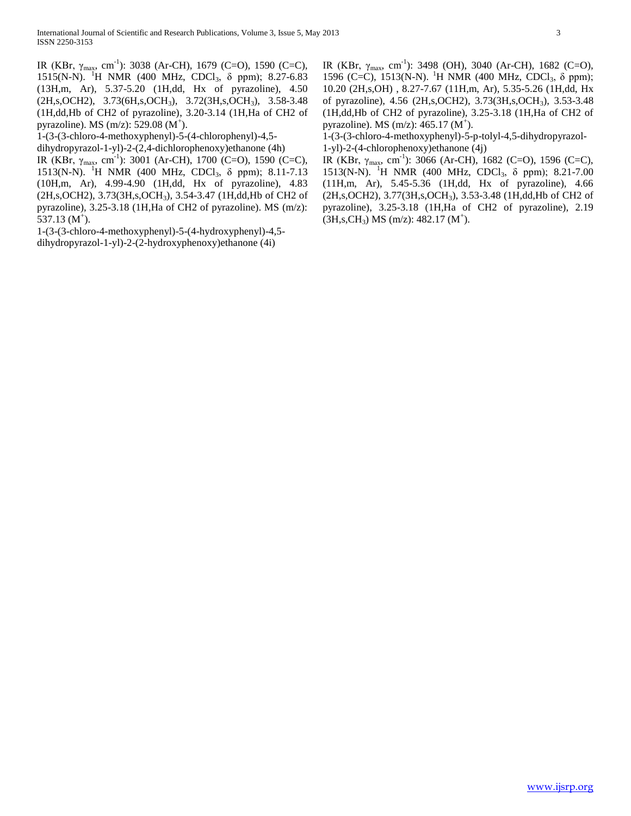IR (KBr,  $\gamma_{\text{max}}$ , cm<sup>-1</sup>): 3038 (Ar-CH), 1679 (C=O), 1590 (C=C), 1515(N-N). <sup>1</sup>H NMR (400 MHz, CDCl<sub>3</sub>, δ ppm); 8.27-6.83 (13H,m, Ar), 5.37-5.20 (1H,dd, Hx of pyrazoline), 4.50 (2H,s,OCH2), 3.73(6H,s,OCH3), 3.72(3H,s,OCH3), 3.58-3.48 (1H,dd,Hb of CH2 of pyrazoline), 3.20-3.14 (1H,Ha of CH2 of pyrazoline). MS  $(m/z)$ : 529.08  $(M^+)$ .

1-(3-(3-chloro-4-methoxyphenyl)-5-(4-chlorophenyl)-4,5-

dihydropyrazol-1-yl)-2-(2,4-dichlorophenoxy)ethanone (4h)

IR (KBr,  $\gamma_{\text{max}}$ , cm<sup>-1</sup>): 3001 (Ar-CH), 1700 (C=O), 1590 (C=C), 1513(N-N). <sup>1</sup>H NMR (400 MHz, CDCl<sub>3</sub>, δ ppm); 8.11-7.13 (10H,m, Ar), 4.99-4.90 (1H,dd, Hx of pyrazoline), 4.83 (2H,s,OCH2), 3.73(3H,s,OCH3), 3.54-3.47 (1H,dd,Hb of CH2 of pyrazoline), 3.25-3.18 (1H,Ha of CH2 of pyrazoline). MS (m/z):  $537.13$  (M<sup>+</sup>).

1-(3-(3-chloro-4-methoxyphenyl)-5-(4-hydroxyphenyl)-4,5 dihydropyrazol-1-yl)-2-(2-hydroxyphenoxy)ethanone (4i)

IR (KBr,  $\gamma_{\text{max}}$ , cm<sup>-1</sup>): 3498 (OH), 3040 (Ar-CH), 1682 (C=O), 1596 (C=C), 1513(N-N). <sup>1</sup>H NMR (400 MHz, CDCl<sub>3</sub>, δ ppm); 10.20 (2H,s,OH) , 8.27-7.67 (11H,m, Ar), 5.35-5.26 (1H,dd, Hx of pyrazoline), 4.56 (2H,s,OCH2), 3.73(3H,s,OCH3), 3.53-3.48 (1H,dd,Hb of CH2 of pyrazoline), 3.25-3.18 (1H,Ha of CH2 of pyrazoline). MS  $(m/z)$ : 465.17  $(M^+)$ .

1-(3-(3-chloro-4-methoxyphenyl)-5-p-tolyl-4,5-dihydropyrazol-1-yl)-2-(4-chlorophenoxy)ethanone (4j)

IR (KBr,  $\gamma_{\text{max}}$ , cm<sup>-1</sup>): 3066 (Ar-CH), 1682 (C=O), 1596 (C=C), 1513(N-N). <sup>1</sup>H NMR (400 MHz, CDCl<sub>3</sub>,  $\delta$  ppm); 8.21-7.00 (11H,m, Ar), 5.45-5.36 (1H,dd, Hx of pyrazoline), 4.66 (2H,s,OCH2), 3.77(3H,s,OCH3), 3.53-3.48 (1H,dd,Hb of CH2 of pyrazoline), 3.25-3.18 (1H,Ha of CH2 of pyrazoline), 2.19  $(H, s, CH_3)$  MS (m/z): 482.17 (M<sup>+</sup>).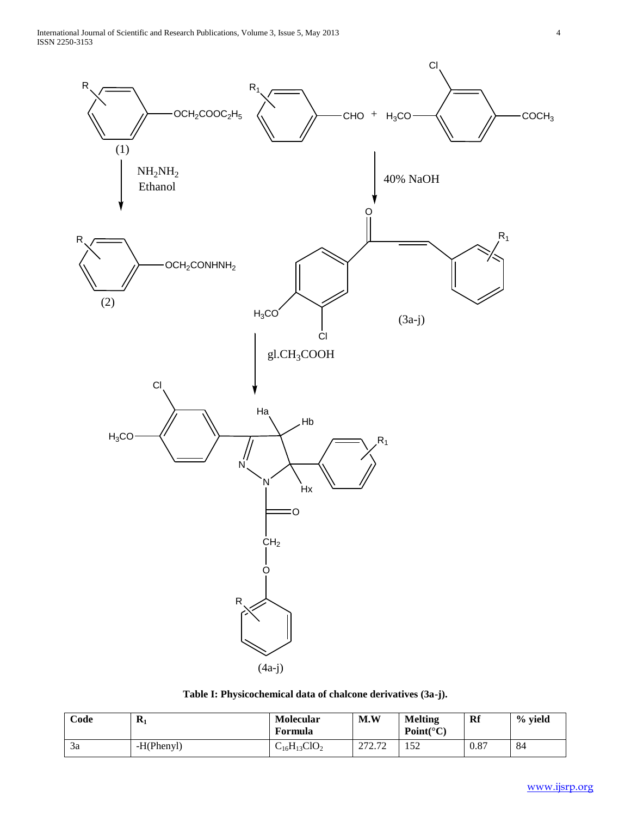International Journal of Scientific and Research Publications, Volume 3, Issue 5, May 2013 4 ISSN 2250-3153



## **Table I: Physicochemical data of chalcone derivatives (3a-j).**

| Code | $\mathbf{R}_1$ | <b>Molecular</b><br>Formula | M.W              | Melting<br>$Point(^{\circ}C)$ | Rf   | % yield |
|------|----------------|-----------------------------|------------------|-------------------------------|------|---------|
| 3a   | $-H(Phenyl)$   | $C_{16}H_{13}ClO_2$         | 272.72<br>212.14 | 50<br>1 J 4                   | 0.87 | 84      |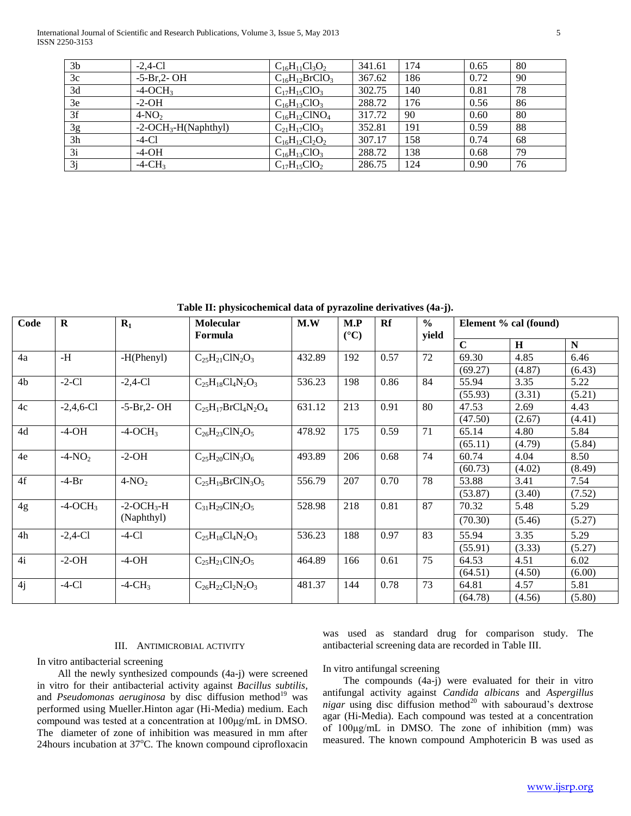International Journal of Scientific and Research Publications, Volume 3, Issue 5, May 2013 5 ISSN 2250-3153

| 3 <sub>b</sub> | $-2,4$ -Cl             | $C_{16}H_{11}Cl_3O_2$ | 341.61 | 174 | 0.65 | 80 |
|----------------|------------------------|-----------------------|--------|-----|------|----|
| 3c             | $-5-Br,2-OH$           | $C_{16}H_{12}BrClO_3$ | 367.62 | 186 | 0.72 | 90 |
| 3d             | $-4$ -OCH <sub>3</sub> | $C_{17}H_{15}ClO_3$   | 302.75 | 140 | 0.81 | 78 |
| 3e             | $-2-OH$                | $C_{16}H_{13}ClO_3$   | 288.72 | 176 | 0.56 | 86 |
| 3f             | $4-NO2$                | $C_{16}H_{12}CINO_4$  | 317.72 | 90  | 0.60 | 80 |
| 3g             | $-2-OCH3-H(Naphthyl)$  | $C_{21}H_{17}ClO_3$   | 352.81 | 191 | 0.59 | 88 |
| 3h             | $-4-C1$                | $C_{16}H_{12}Cl_2O_2$ | 307.17 | 158 | 0.74 | 68 |
| 3i             | $-4-OH$                | $C_{16}H_{13}ClO_3$   | 288.72 | 138 | 0.68 | 79 |
| 3i             | $-4$ -CH <sub>3</sub>  | $C_{17}H_{15}ClO_2$   | 286.75 | 124 | 0.90 | 76 |
|                |                        |                       |        |     |      |    |

**Table II: physicochemical data of pyrazoline derivatives (4a-j).**

| Code           | $\mathbf R$            | $R_1$                  | <b>Molecular</b><br>Formula | M.W    | M.P<br>$({}^{\circ}C)$ | Rf   | $\frac{0}{0}$<br>yield | Element % cal (found) |        |             |
|----------------|------------------------|------------------------|-----------------------------|--------|------------------------|------|------------------------|-----------------------|--------|-------------|
|                |                        |                        |                             |        |                        |      |                        | $\mathbf C$           | H      | $\mathbf N$ |
| 4a             | $-H$                   | $-H(Phenyl)$           | $C_{25}H_{21}C1N_2O_3$      | 432.89 | 192                    | 0.57 | 72                     | 69.30                 | 4.85   | 6.46        |
|                |                        |                        |                             |        |                        |      |                        | (69.27)               | (4.87) | (6.43)      |
| 4 <sub>b</sub> | $-2-C1$                | $-2,4$ -Cl             | $C_{25}H_{18}Cl_4N_2O_3$    | 536.23 | 198                    | 0.86 | 84                     | 55.94                 | 3.35   | 5.22        |
|                |                        |                        |                             |        |                        |      |                        | (55.93)               | (3.31) | (5.21)      |
| 4c             | $-2,4,6$ -Cl           | $-5-Br,2-OH$           | $C_{25}H_{17}BrCl_4N_2O_4$  | 631.12 | 213                    | 0.91 | 80                     | 47.53                 | 2.69   | 4.43        |
|                |                        |                        |                             |        |                        |      |                        | (47.50)               | (2.67) | (4.41)      |
| 4d             | $-4-OH$                | $-4$ -OCH <sub>3</sub> | $C_{26}H_{23}C1N_2O_5$      | 478.92 | 175                    | 0.59 | 71                     | 65.14                 | 4.80   | 5.84        |
|                |                        |                        |                             |        |                        |      |                        | (65.11)               | (4.79) | (5.84)      |
| 4e             | $-4-NO2$               | $-2-OH$                | $C_{25}H_{20}C1N_3O_6$      | 493.89 | 206                    | 0.68 | 74                     | 60.74                 | 4.04   | 8.50        |
|                |                        |                        |                             |        |                        |      |                        | (60.73)               | (4.02) | (8.49)      |
| 4f             | $-4-Br$                | $4-NO2$                | $C_{25}H_{19}BrClN_3O_5$    | 556.79 | 207                    | 0.70 | 78                     | 53.88                 | 3.41   | 7.54        |
|                |                        |                        |                             |        |                        |      |                        | (53.87)               | (3.40) | (7.52)      |
| 4g             | $-4$ -OCH <sub>3</sub> | $-2-OCH3-H$            | $C_{31}H_{29}C1N_2O_5$      | 528.98 | 218                    | 0.81 | 87                     | 70.32                 | 5.48   | 5.29        |
|                |                        | (Naphthyl)             |                             |        |                        |      |                        | (70.30)               | (5.46) | (5.27)      |
| 4h             | $-2,4-C1$              | $-4-C1$                | $C_{25}H_{18}Cl_4N_2O_3$    | 536.23 | 188                    | 0.97 | 83                     | 55.94                 | 3.35   | 5.29        |
|                |                        |                        |                             |        |                        |      |                        | (55.91)               | (3.33) | (5.27)      |
| 4i             | $-2-OH$                | $-4-OH$                | $C_{25}H_{21}C1N_2O_5$      | 464.89 | 166                    | 0.61 | 75                     | 64.53                 | 4.51   | 6.02        |
|                |                        |                        |                             |        |                        |      |                        | (64.51)               | (4.50) | (6.00)      |
| 4j             | $-4-C1$                | $-4$ -CH <sub>3</sub>  | $C_{26}H_{22}Cl_2N_2O_3$    | 481.37 | 144                    | 0.78 | 73                     | 64.81                 | 4.57   | 5.81        |
|                |                        |                        |                             |        |                        |      |                        | (64.78)               | (4.56) | (5.80)      |

### III. ANTIMICROBIAL ACTIVITY

In vitro antibacterial screening

 All the newly synthesized compounds (4a-j) were screened in vitro for their antibacterial activity against *Bacillus subtilis*, and *Pseudomonas aeruginosa* by disc diffusion method<sup>19</sup> was performed using Mueller.Hinton agar (Hi-Media) medium. Each compound was tested at a concentration at 100μg/mL in DMSO. The diameter of zone of inhibition was measured in mm after 24 hours incubation at  $37^{\circ}$ C. The known compound ciprofloxacin

was used as standard drug for comparison study. The antibacterial screening data are recorded in Table III.

#### In vitro antifungal screening

 The compounds (4a-j) were evaluated for their in vitro antifungal activity against *Candida albicans* and *Aspergillus*   $nigar$  using disc diffusion method<sup>20</sup> with sabouraud's dextrose agar (Hi-Media). Each compound was tested at a concentration of 100μg/mL in DMSO. The zone of inhibition (mm) was measured. The known compound Amphotericin B was used as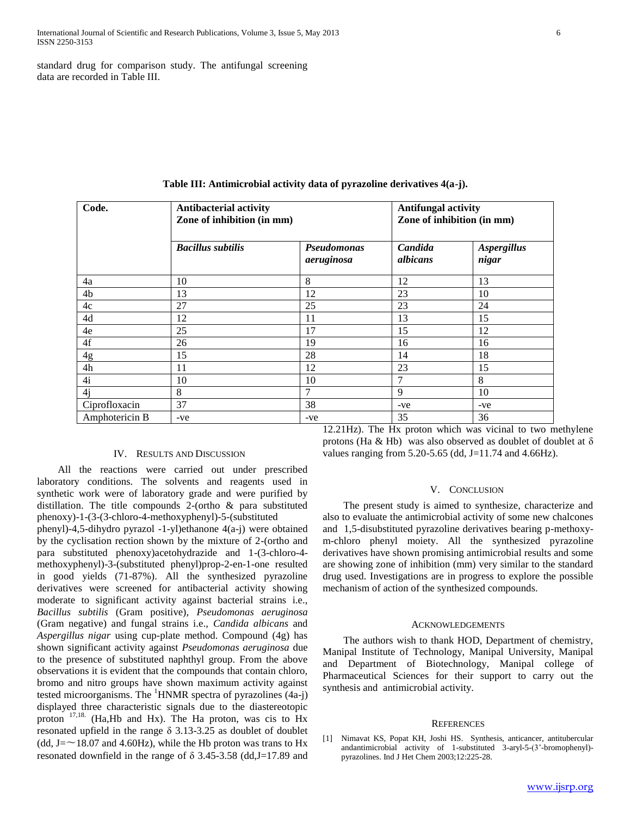standard drug for comparison study. The antifungal screening data are recorded in Table III.

| Code.          | <b>Antibacterial activity</b><br>Zone of inhibition (in mm) |                           | <b>Antifungal activity</b><br>Zone of inhibition (in mm) |                             |  |
|----------------|-------------------------------------------------------------|---------------------------|----------------------------------------------------------|-----------------------------|--|
|                | <b>Bacillus subtilis</b>                                    | Pseudomonas<br>aeruginosa | Candida<br>albicans                                      | <b>Aspergillus</b><br>nigar |  |
| 4a             | 10                                                          | 8                         | 12                                                       | 13                          |  |
| 4b             | 13                                                          | 12                        | 23                                                       | 10                          |  |
| 4c             | 27                                                          | 25                        | 23                                                       | 24                          |  |
| 4d             | 12                                                          | 11                        | 13                                                       | 15                          |  |
| 4e             | 25                                                          | 17                        | 15                                                       | 12                          |  |
| 4f             | 26                                                          | 19                        | 16                                                       | 16                          |  |
| 4g             | 15                                                          | 28                        | 14                                                       | 18                          |  |
| 4h             | 11                                                          | 12                        | 23                                                       | 15                          |  |
| 4i             | 10                                                          | 10                        | 7                                                        | 8                           |  |
| 4j             | 8                                                           | $\tau$                    | 9                                                        | 10                          |  |
| Ciprofloxacin  | 37                                                          | 38                        | -ve                                                      | -ve                         |  |
| Amphotericin B | -ve                                                         | -ve                       | 35                                                       | 36                          |  |

**Table III: Antimicrobial activity data of pyrazoline derivatives 4(a-j).**

#### IV. RESULTS AND DISCUSSION

 All the reactions were carried out under prescribed laboratory conditions. The solvents and reagents used in synthetic work were of laboratory grade and were purified by distillation. The title compounds 2-(ortho & para substituted phenoxy)-1-(3-(3-chloro-4-methoxyphenyl)-5-(substituted

phenyl)-4,5-dihydro pyrazol -1-yl)ethanone 4(a-j) were obtained by the cyclisation rection shown by the mixture of 2-(ortho and para substituted phenoxy)acetohydrazide and 1-(3-chloro-4 methoxyphenyl)-3-(substituted phenyl)prop-2-en-1-one resulted in good yields (71-87%). All the synthesized pyrazoline derivatives were screened for antibacterial activity showing moderate to significant activity against bacterial strains i.e., *Bacillus subtilis* (Gram positive), *Pseudomonas aeruginosa*  (Gram negative) and fungal strains i.e., *Candida albicans* and *Aspergillus nigar* using cup-plate method. Compound (4g) has shown significant activity against *Pseudomonas aeruginosa* due to the presence of substituted naphthyl group. From the above observations it is evident that the compounds that contain chloro, bromo and nitro groups have shown maximum activity against tested microorganisms. The  ${}^{1}$ HNMR spectra of pyrazolines (4a-j) displayed three characteristic signals due to the diastereotopic proton  $17,18$ . (Ha,Hb and Hx). The Ha proton, was cis to Hx resonated upfield in the range δ 3.13-3.25 as doublet of doublet (dd, J= $\sim$ 18.07 and 4.60Hz), while the Hb proton was trans to Hx resonated downfield in the range of  $\delta$  3.45-3.58 (dd, J=17.89 and

12.21Hz). The Hx proton which was vicinal to two methylene protons (Ha & Hb) was also observed as doublet of doublet at δ values ranging from  $5.20 - 5.65$  (dd, J=11.74 and 4.66Hz).

#### V. CONCLUSION

 The present study is aimed to synthesize, characterize and also to evaluate the antimicrobial activity of some new chalcones and 1,5-disubstituted pyrazoline derivatives bearing p-methoxym-chloro phenyl moiety. All the synthesized pyrazoline derivatives have shown promising antimicrobial results and some are showing zone of inhibition (mm) very similar to the standard drug used. Investigations are in progress to explore the possible mechanism of action of the synthesized compounds.

#### ACKNOWLEDGEMENTS

 The authors wish to thank HOD, Department of chemistry, Manipal Institute of Technology, Manipal University, Manipal and Department of Biotechnology, Manipal college of Pharmaceutical Sciences for their support to carry out the synthesis and antimicrobial activity.

#### **REFERENCES**

[1] Nimavat KS, Popat KH, Joshi HS. Synthesis, anticancer, antitubercular andantimicrobial activity of 1-substituted 3-aryl-5-(3'-bromophenyl) pyrazolines. Ind J Het Chem 2003;12:225-28.